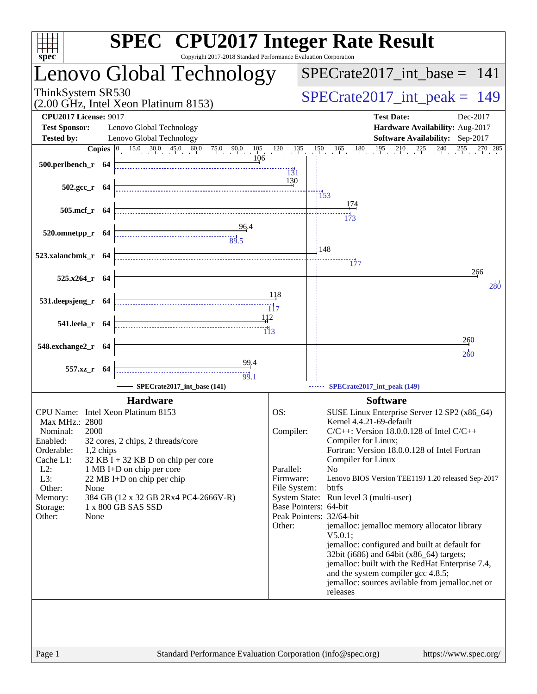| Copyright 2017-2018 Standard Performance Evaluation Corporation<br>spec <sup>®</sup><br>Lenovo Global Technology<br>ThinkSystem SR530<br>(2.00 GHz, Intel Xeon Platinum 8153)<br><b>CPU2017 License: 9017</b><br>Lenovo Global Technology<br><b>Test Sponsor:</b><br>Lenovo Global Technology<br><b>Tested by:</b>                                                                                                                                                                     | $SPECrate2017\_int\_base = 141$<br>$SPECrate2017\_int\_peak = 149$                                                                                                                                                                                                                                                                                                                                                                                                                                                                                                                                                                                                                                                       |
|----------------------------------------------------------------------------------------------------------------------------------------------------------------------------------------------------------------------------------------------------------------------------------------------------------------------------------------------------------------------------------------------------------------------------------------------------------------------------------------|--------------------------------------------------------------------------------------------------------------------------------------------------------------------------------------------------------------------------------------------------------------------------------------------------------------------------------------------------------------------------------------------------------------------------------------------------------------------------------------------------------------------------------------------------------------------------------------------------------------------------------------------------------------------------------------------------------------------------|
|                                                                                                                                                                                                                                                                                                                                                                                                                                                                                        |                                                                                                                                                                                                                                                                                                                                                                                                                                                                                                                                                                                                                                                                                                                          |
|                                                                                                                                                                                                                                                                                                                                                                                                                                                                                        |                                                                                                                                                                                                                                                                                                                                                                                                                                                                                                                                                                                                                                                                                                                          |
|                                                                                                                                                                                                                                                                                                                                                                                                                                                                                        | <b>Test Date:</b><br>Dec-2017<br>Hardware Availability: Aug-2017<br>Software Availability: Sep-2017                                                                                                                                                                                                                                                                                                                                                                                                                                                                                                                                                                                                                      |
| 106<br>$500.$ perlbench_r 64<br>131                                                                                                                                                                                                                                                                                                                                                                                                                                                    | <b>Copies</b> $\begin{bmatrix} 0 & 15 & 0 & 30 & 0 & 45 & 0 & 60 & 0 & 75 & 0 & 90 & 0 & 105 & 120 & 135 & 150 & 165 & 180 & 195 & 210 & 225 & 240 & 255 & 270 & 285 \end{bmatrix}$                                                                                                                                                                                                                                                                                                                                                                                                                                                                                                                                      |
| 130<br>502.gcc_r 64                                                                                                                                                                                                                                                                                                                                                                                                                                                                    | 153<br><u> 174</u>                                                                                                                                                                                                                                                                                                                                                                                                                                                                                                                                                                                                                                                                                                       |
| 505.mcf_r 64<br>$520.0$ mnetpp_r 64                                                                                                                                                                                                                                                                                                                                                                                                                                                    | $\overline{173}$                                                                                                                                                                                                                                                                                                                                                                                                                                                                                                                                                                                                                                                                                                         |
| $\frac{96.4}{89.5}$<br>523.xalancbmk_r 64                                                                                                                                                                                                                                                                                                                                                                                                                                              | 148<br>$\frac{1}{177}$                                                                                                                                                                                                                                                                                                                                                                                                                                                                                                                                                                                                                                                                                                   |
| $525.x264$ r 64                                                                                                                                                                                                                                                                                                                                                                                                                                                                        | 266<br>280                                                                                                                                                                                                                                                                                                                                                                                                                                                                                                                                                                                                                                                                                                               |
| 118<br>531.deepsjeng_r 64<br>112                                                                                                                                                                                                                                                                                                                                                                                                                                                       |                                                                                                                                                                                                                                                                                                                                                                                                                                                                                                                                                                                                                                                                                                                          |
| 541.leela_r 64<br>548.exchange2_r 64                                                                                                                                                                                                                                                                                                                                                                                                                                                   | 260                                                                                                                                                                                                                                                                                                                                                                                                                                                                                                                                                                                                                                                                                                                      |
| 99.4<br>557.xz_r 64<br>99.1                                                                                                                                                                                                                                                                                                                                                                                                                                                            | 260                                                                                                                                                                                                                                                                                                                                                                                                                                                                                                                                                                                                                                                                                                                      |
| SPECrate2017_int_base (141)<br><b>Hardware</b>                                                                                                                                                                                                                                                                                                                                                                                                                                         | SPECrate2017_int_peak (149)<br><b>Software</b>                                                                                                                                                                                                                                                                                                                                                                                                                                                                                                                                                                                                                                                                           |
| CPU Name: Intel Xeon Platinum 8153<br>OS:<br>Max MHz.: 2800<br>Compiler:<br>2000<br>Nominal:<br>Enabled:<br>32 cores, 2 chips, 2 threads/core<br>Orderable:<br>1,2 chips<br>Cache L1:<br>$32$ KB I + 32 KB D on chip per core<br>Parallel:<br>$L2$ :<br>1 MB I+D on chip per core<br>L3:<br>Firmware:<br>22 MB I+D on chip per chip<br>File System:<br>Other:<br>None<br>384 GB (12 x 32 GB 2Rx4 PC4-2666V-R)<br>Memory:<br>Storage:<br>1 x 800 GB SAS SSD<br>None<br>Other:<br>Other: | SUSE Linux Enterprise Server 12 SP2 (x86_64)<br>Kernel 4.4.21-69-default<br>$C/C++$ : Version 18.0.0.128 of Intel $C/C++$<br>Compiler for Linux;<br>Fortran: Version 18.0.0.128 of Intel Fortran<br>Compiler for Linux<br>N <sub>o</sub><br>Lenovo BIOS Version TEE119J 1.20 released Sep-2017<br>btrfs<br>System State: Run level 3 (multi-user)<br>Base Pointers: 64-bit<br>Peak Pointers: 32/64-bit<br>jemalloc: jemalloc memory allocator library<br>$V5.0.1$ :<br>jemalloc: configured and built at default for<br>32bit (i686) and 64bit (x86_64) targets;<br>jemalloc: built with the RedHat Enterprise 7.4,<br>and the system compiler gcc 4.8.5;<br>jemalloc: sources avilable from jemalloc.net or<br>releases |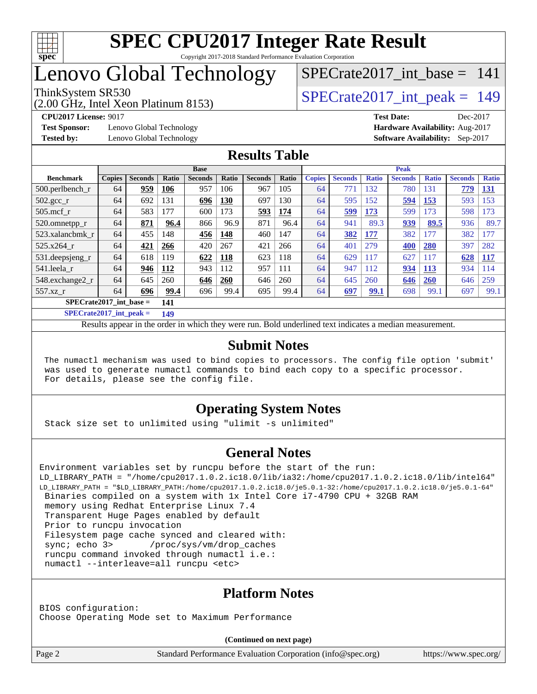

## Lenovo Global Technology

(2.00 GHz, Intel Xeon Platinum 8153)

ThinkSystem SR530<br>  $\overline{SPECrate2017\_int\_peak} = 149$ 

[SPECrate2017\\_int\\_base =](http://www.spec.org/auto/cpu2017/Docs/result-fields.html#SPECrate2017intbase) 141

**[Test Sponsor:](http://www.spec.org/auto/cpu2017/Docs/result-fields.html#TestSponsor)** Lenovo Global Technology **[Hardware Availability:](http://www.spec.org/auto/cpu2017/Docs/result-fields.html#HardwareAvailability)** Aug-2017 **[Tested by:](http://www.spec.org/auto/cpu2017/Docs/result-fields.html#Testedby)** Lenovo Global Technology **[Software Availability:](http://www.spec.org/auto/cpu2017/Docs/result-fields.html#SoftwareAvailability)** Sep-2017

**[CPU2017 License:](http://www.spec.org/auto/cpu2017/Docs/result-fields.html#CPU2017License)** 9017 **[Test Date:](http://www.spec.org/auto/cpu2017/Docs/result-fields.html#TestDate)** Dec-2017

#### **[Results Table](http://www.spec.org/auto/cpu2017/Docs/result-fields.html#ResultsTable)**

|                                  | <b>Base</b>   |                |              |                |              | <b>Peak</b>    |              |               |                |              |                |              |                |              |
|----------------------------------|---------------|----------------|--------------|----------------|--------------|----------------|--------------|---------------|----------------|--------------|----------------|--------------|----------------|--------------|
| <b>Benchmark</b>                 | <b>Copies</b> | <b>Seconds</b> | <b>Ratio</b> | <b>Seconds</b> | <b>Ratio</b> | <b>Seconds</b> | <b>Ratio</b> | <b>Copies</b> | <b>Seconds</b> | <b>Ratio</b> | <b>Seconds</b> | <b>Ratio</b> | <b>Seconds</b> | <b>Ratio</b> |
| $500.$ perlbench_r               | 64            | 959            | 106          | 957            | 106          | 967            | 105          | 64            | 771            | 132          | 780            | 131          | 779            | <u>131</u>   |
| $502.\text{gcc}$                 | 64            | 692            | 131          | 696            | 130          | 697            | 130          | 64            | 595            | 152          | 594            | 153          | 593            | 153          |
| $505$ .mcf r                     | 64            | 583            | 177          | 600            | 173          | 593            | 174          | 64            | 599            | <u>173</u>   | 599            | 173          | 598            | 73           |
| 520.omnetpp_r                    | 64            | 871            | 96.4         | 866            | 96.9         | 871            | 96.4         | 64            | 941            | 89.3         | 939            | 89.5         | 936            | 89.7         |
| 523.xalancbmk r                  | 64            | 455            | 148          | 456            | 148          | 460            | 147          | 64            | 382            | 177          | 382            | 177          | 382            | .77          |
| 525.x264 r                       | 64            | 421            | 266          | 420            | 267          | 421            | 266          | 64            | 401            | 279          | 400            | 280          | 397            | 282          |
| 531.deepsjeng_r                  | 64            | 618            | 119          | 622            | 118          | 623            | 118          | 64            | 629            | 117          | 627            | 117          | 628            | <b>117</b>   |
| 541.leela r                      | 64            | 946            | 112          | 943            | 112          | 957            | 111          | 64            | 947            | 112          | 934            | <b>113</b>   | 934            | 114          |
| 548.exchange2_r                  | 64            | 645            | 260          | 646            | 260          | 646            | 260          | 64            | 645            | 260          | 646            | <b>260</b>   | 646            | 259          |
| 557.xz r                         | 64            | 696            | 99.4         | 696            | 99.4         | 695            | 99.4         | 64            | 697            | 99.1         | 698            | 99.1         | 697            | 99.1         |
| $SPECrate2017$ int base =<br>141 |               |                |              |                |              |                |              |               |                |              |                |              |                |              |

**[SPECrate2017\\_int\\_peak =](http://www.spec.org/auto/cpu2017/Docs/result-fields.html#SPECrate2017intpeak) 149**

Results appear in the [order in which they were run.](http://www.spec.org/auto/cpu2017/Docs/result-fields.html#RunOrder) Bold underlined text [indicates a median measurement.](http://www.spec.org/auto/cpu2017/Docs/result-fields.html#Median)

#### **[Submit Notes](http://www.spec.org/auto/cpu2017/Docs/result-fields.html#SubmitNotes)**

 The numactl mechanism was used to bind copies to processors. The config file option 'submit' was used to generate numactl commands to bind each copy to a specific processor. For details, please see the config file.

#### **[Operating System Notes](http://www.spec.org/auto/cpu2017/Docs/result-fields.html#OperatingSystemNotes)**

Stack size set to unlimited using "ulimit -s unlimited"

#### **[General Notes](http://www.spec.org/auto/cpu2017/Docs/result-fields.html#GeneralNotes)**

```
Environment variables set by runcpu before the start of the run:
LD_LIBRARY_PATH = "/home/cpu2017.1.0.2.ic18.0/lib/ia32:/home/cpu2017.1.0.2.ic18.0/lib/intel64"
LD_LIBRARY_PATH = "$LD_LIBRARY_PATH:/home/cpu2017.1.0.2.ic18.0/je5.0.1-32:/home/cpu2017.1.0.2.ic18.0/je5.0.1-64"
 Binaries compiled on a system with 1x Intel Core i7-4790 CPU + 32GB RAM
 memory using Redhat Enterprise Linux 7.4
 Transparent Huge Pages enabled by default
 Prior to runcpu invocation
 Filesystem page cache synced and cleared with:
 sync; echo 3> /proc/sys/vm/drop_caches
  runcpu command invoked through numactl i.e.:
 numactl --interleave=all runcpu <etc>
```
#### **[Platform Notes](http://www.spec.org/auto/cpu2017/Docs/result-fields.html#PlatformNotes)**

BIOS configuration: Choose Operating Mode set to Maximum Performance

**(Continued on next page)**

Page 2 Standard Performance Evaluation Corporation [\(info@spec.org\)](mailto:info@spec.org) <https://www.spec.org/>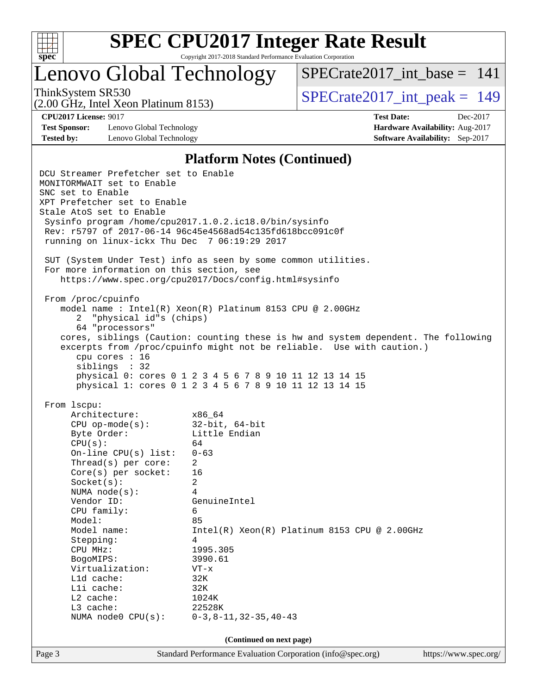

# **[SPEC CPU2017 Integer Rate Result](http://www.spec.org/auto/cpu2017/Docs/result-fields.html#SPECCPU2017IntegerRateResult)**

Copyright 2017-2018 Standard Performance Evaluation Corporation

## Lenovo Global Technology

(2.00 GHz, Intel Xeon Platinum 8153)

[SPECrate2017\\_int\\_base =](http://www.spec.org/auto/cpu2017/Docs/result-fields.html#SPECrate2017intbase) 141

ThinkSystem SR530<br>  $\overline{SPECrate2017\_int\_peak} = 149$ 

**[Test Sponsor:](http://www.spec.org/auto/cpu2017/Docs/result-fields.html#TestSponsor)** Lenovo Global Technology **[Hardware Availability:](http://www.spec.org/auto/cpu2017/Docs/result-fields.html#HardwareAvailability)** Aug-2017 **[Tested by:](http://www.spec.org/auto/cpu2017/Docs/result-fields.html#Testedby)** Lenovo Global Technology **[Software Availability:](http://www.spec.org/auto/cpu2017/Docs/result-fields.html#SoftwareAvailability)** Sep-2017

**[CPU2017 License:](http://www.spec.org/auto/cpu2017/Docs/result-fields.html#CPU2017License)** 9017 **[Test Date:](http://www.spec.org/auto/cpu2017/Docs/result-fields.html#TestDate)** Dec-2017

#### **[Platform Notes \(Continued\)](http://www.spec.org/auto/cpu2017/Docs/result-fields.html#PlatformNotes)**

Page 3 Standard Performance Evaluation Corporation [\(info@spec.org\)](mailto:info@spec.org) <https://www.spec.org/> DCU Streamer Prefetcher set to Enable MONITORMWAIT set to Enable SNC set to Enable XPT Prefetcher set to Enable Stale AtoS set to Enable Sysinfo program /home/cpu2017.1.0.2.ic18.0/bin/sysinfo Rev: r5797 of 2017-06-14 96c45e4568ad54c135fd618bcc091c0f running on linux-ickx Thu Dec 7 06:19:29 2017 SUT (System Under Test) info as seen by some common utilities. For more information on this section, see <https://www.spec.org/cpu2017/Docs/config.html#sysinfo> From /proc/cpuinfo model name : Intel(R) Xeon(R) Platinum 8153 CPU @ 2.00GHz 2 "physical id"s (chips) 64 "processors" cores, siblings (Caution: counting these is hw and system dependent. The following excerpts from /proc/cpuinfo might not be reliable. Use with caution.) cpu cores : 16 siblings : 32 physical 0: cores 0 1 2 3 4 5 6 7 8 9 10 11 12 13 14 15 physical 1: cores 0 1 2 3 4 5 6 7 8 9 10 11 12 13 14 15 From lscpu: Architecture: x86\_64 CPU op-mode(s): 32-bit, 64-bit Byte Order: Little Endian  $CPU(s):$  64 On-line CPU(s) list: 0-63 Thread(s) per core: 2 Core(s) per socket: 16 Socket(s): 2 NUMA node(s): 4 Vendor ID: GenuineIntel CPU family: 6 Model: 85<br>Model name: 1n Intel(R) Xeon(R) Platinum 8153 CPU @ 2.00GHz Stepping: 4 CPU MHz: 1995.305 BogoMIPS: 3990.61 Virtualization: VT-x L1d cache: 32K L1i cache: 32K L2 cache: 1024K L3 cache: 22528K NUMA node0 CPU(s): 0-3,8-11,32-35,40-43 **(Continued on next page)**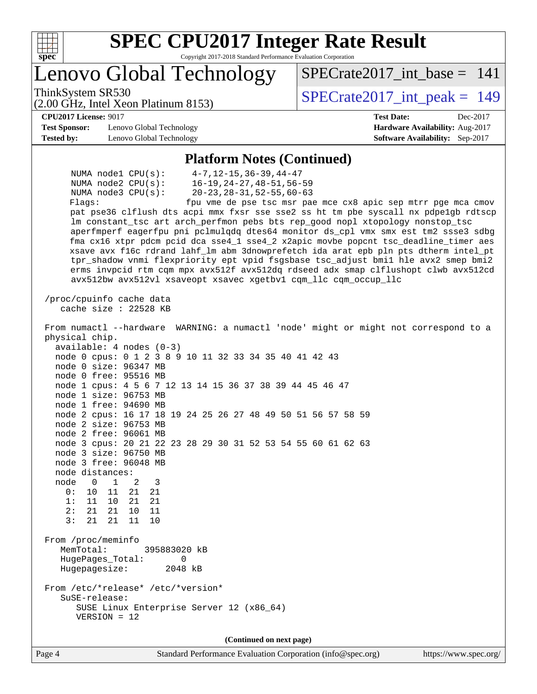

# **[SPEC CPU2017 Integer Rate Result](http://www.spec.org/auto/cpu2017/Docs/result-fields.html#SPECCPU2017IntegerRateResult)**

Copyright 2017-2018 Standard Performance Evaluation Corporation

## Lenovo Global Technology

(2.00 GHz, Intel Xeon Platinum 8153)

ThinkSystem SR530<br>  $\overline{SPECrate2017\_int\_peak} = 149$ 

[SPECrate2017\\_int\\_base =](http://www.spec.org/auto/cpu2017/Docs/result-fields.html#SPECrate2017intbase) 141

#### **[CPU2017 License:](http://www.spec.org/auto/cpu2017/Docs/result-fields.html#CPU2017License)** 9017 **[Test Date:](http://www.spec.org/auto/cpu2017/Docs/result-fields.html#TestDate)** Dec-2017

**[Test Sponsor:](http://www.spec.org/auto/cpu2017/Docs/result-fields.html#TestSponsor)** Lenovo Global Technology **[Hardware Availability:](http://www.spec.org/auto/cpu2017/Docs/result-fields.html#HardwareAvailability)** Aug-2017 **[Tested by:](http://www.spec.org/auto/cpu2017/Docs/result-fields.html#Testedby)** Lenovo Global Technology **[Software Availability:](http://www.spec.org/auto/cpu2017/Docs/result-fields.html#SoftwareAvailability)** Sep-2017

#### **[Platform Notes \(Continued\)](http://www.spec.org/auto/cpu2017/Docs/result-fields.html#PlatformNotes)**

 NUMA node1 CPU(s): 4-7,12-15,36-39,44-47 NUMA node2 CPU(s): 16-19,24-27,48-51,56-59 NUMA node3 CPU(s): 20-23,28-31,52-55,60-63 Flags: fpu vme de pse tsc msr pae mce cx8 apic sep mtrr pge mca cmov pat pse36 clflush dts acpi mmx fxsr sse sse2 ss ht tm pbe syscall nx pdpe1gb rdtscp lm constant\_tsc art arch\_perfmon pebs bts rep\_good nopl xtopology nonstop\_tsc aperfmperf eagerfpu pni pclmulqdq dtes64 monitor ds\_cpl vmx smx est tm2 ssse3 sdbg fma cx16 xtpr pdcm pcid dca sse4\_1 sse4\_2 x2apic movbe popcnt tsc\_deadline\_timer aes xsave avx f16c rdrand lahf\_lm abm 3dnowprefetch ida arat epb pln pts dtherm intel\_pt tpr\_shadow vnmi flexpriority ept vpid fsgsbase tsc\_adjust bmi1 hle avx2 smep bmi2 erms invpcid rtm cqm mpx avx512f avx512dq rdseed adx smap clflushopt clwb avx512cd avx512bw avx512vl xsaveopt xsavec xgetbv1 cqm\_llc cqm\_occup\_llc /proc/cpuinfo cache data cache size : 22528 KB From numactl --hardware WARNING: a numactl 'node' might or might not correspond to a physical chip. available: 4 nodes (0-3) node 0 cpus: 0 1 2 3 8 9 10 11 32 33 34 35 40 41 42 43 node 0 size: 96347 MB node 0 free: 95516 MB node 1 cpus: 4 5 6 7 12 13 14 15 36 37 38 39 44 45 46 47 node 1 size: 96753 MB node 1 free: 94690 MB node 2 cpus: 16 17 18 19 24 25 26 27 48 49 50 51 56 57 58 59 node 2 size: 96753 MB node 2 free: 96061 MB node 3 cpus: 20 21 22 23 28 29 30 31 52 53 54 55 60 61 62 63 node 3 size: 96750 MB node 3 free: 96048 MB node distances: node 0 1 2 3 0: 10 11 21 21 1: 11 10 21 21 2: 21 21 10 11 3: 21 21 11 10 From /proc/meminfo MemTotal: 395883020 kB HugePages\_Total: 0 Hugepagesize: 2048 kB From /etc/\*release\* /etc/\*version\* SuSE-release: SUSE Linux Enterprise Server 12 (x86\_64) VERSION = 12 **(Continued on next page)**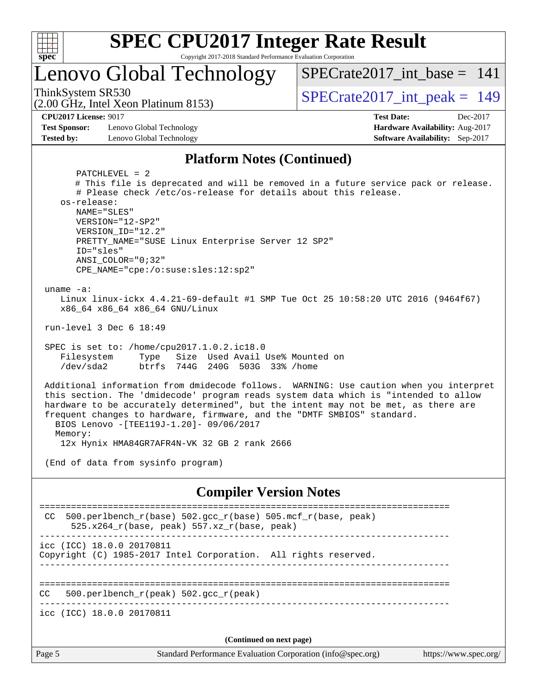

## Lenovo Global Technology

ThinkSystem SR530<br>  $\overline{SPECrate2017\_int\_peak} = 149$ 

 $SPECrate2017\_int\_base = 141$ 

(2.00 GHz, Intel Xeon Platinum 8153)

**[CPU2017 License:](http://www.spec.org/auto/cpu2017/Docs/result-fields.html#CPU2017License)** 9017 **[Test Date:](http://www.spec.org/auto/cpu2017/Docs/result-fields.html#TestDate)** Dec-2017

**[Test Sponsor:](http://www.spec.org/auto/cpu2017/Docs/result-fields.html#TestSponsor)** Lenovo Global Technology **[Hardware Availability:](http://www.spec.org/auto/cpu2017/Docs/result-fields.html#HardwareAvailability)** Aug-2017 **[Tested by:](http://www.spec.org/auto/cpu2017/Docs/result-fields.html#Testedby)** Lenovo Global Technology **[Software Availability:](http://www.spec.org/auto/cpu2017/Docs/result-fields.html#SoftwareAvailability)** Sep-2017

#### **[Platform Notes \(Continued\)](http://www.spec.org/auto/cpu2017/Docs/result-fields.html#PlatformNotes)**

Page 5 Standard Performance Evaluation Corporation [\(info@spec.org\)](mailto:info@spec.org) <https://www.spec.org/> PATCHLEVEL = 2 # This file is deprecated and will be removed in a future service pack or release. # Please check /etc/os-release for details about this release. os-release: NAME="SLES" VERSION="12-SP2" VERSION\_ID="12.2" PRETTY\_NAME="SUSE Linux Enterprise Server 12 SP2" ID="sles" ANSI\_COLOR="0;32" CPE\_NAME="cpe:/o:suse:sles:12:sp2" uname -a: Linux linux-ickx 4.4.21-69-default #1 SMP Tue Oct 25 10:58:20 UTC 2016 (9464f67) x86\_64 x86\_64 x86\_64 GNU/Linux run-level 3 Dec 6 18:49 SPEC is set to: /home/cpu2017.1.0.2.ic18.0 Filesystem Type Size Used Avail Use% Mounted on /dev/sda2 btrfs 744G 240G 503G 33% /home Additional information from dmidecode follows. WARNING: Use caution when you interpret this section. The 'dmidecode' program reads system data which is "intended to allow hardware to be accurately determined", but the intent may not be met, as there are frequent changes to hardware, firmware, and the "DMTF SMBIOS" standard. BIOS Lenovo -[TEE119J-1.20]- 09/06/2017 Memory: 12x Hynix HMA84GR7AFR4N-VK 32 GB 2 rank 2666 (End of data from sysinfo program) **[Compiler Version Notes](http://www.spec.org/auto/cpu2017/Docs/result-fields.html#CompilerVersionNotes)** ============================================================================== CC 500.perlbench\_r(base)  $502.\text{gcc}_r(\text{base})$  505.mcf\_r(base, peak) 525.x264 $r(base, peak)$  557.xz $r(base, peak)$ ----------------------------------------------------------------------------- icc (ICC) 18.0.0 20170811 Copyright (C) 1985-2017 Intel Corporation. All rights reserved. ------------------------------------------------------------------------------ ============================================================================== CC 500.perlbench\_r(peak) 502.gcc\_r(peak) ----------------------------------------------------------------------------- icc (ICC) 18.0.0 20170811 **(Continued on next page)**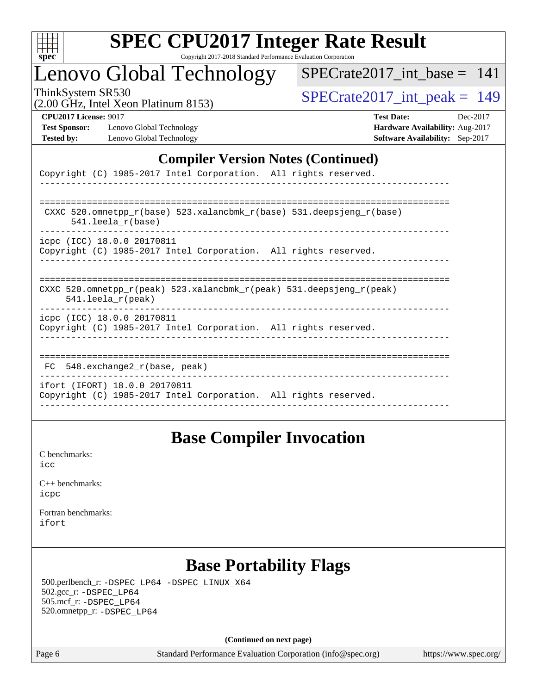

## Lenovo Global Technology

[SPECrate2017\\_int\\_base =](http://www.spec.org/auto/cpu2017/Docs/result-fields.html#SPECrate2017intbase) 141

(2.00 GHz, Intel Xeon Platinum 8153)

ThinkSystem SR530<br>(2.00 GHz, Intel Xeon Platinum 8153) [SPECrate2017\\_int\\_peak =](http://www.spec.org/auto/cpu2017/Docs/result-fields.html#SPECrate2017intpeak) 149

**[Test Sponsor:](http://www.spec.org/auto/cpu2017/Docs/result-fields.html#TestSponsor)** Lenovo Global Technology **[Hardware Availability:](http://www.spec.org/auto/cpu2017/Docs/result-fields.html#HardwareAvailability)** Aug-2017 **[Tested by:](http://www.spec.org/auto/cpu2017/Docs/result-fields.html#Testedby)** Lenovo Global Technology **[Software Availability:](http://www.spec.org/auto/cpu2017/Docs/result-fields.html#SoftwareAvailability)** Sep-2017

**[CPU2017 License:](http://www.spec.org/auto/cpu2017/Docs/result-fields.html#CPU2017License)** 9017 **[Test Date:](http://www.spec.org/auto/cpu2017/Docs/result-fields.html#TestDate)** Dec-2017

#### **[Compiler Version Notes \(Continued\)](http://www.spec.org/auto/cpu2017/Docs/result-fields.html#CompilerVersionNotes)**

| Copyright (C) 1985-2017 Intel Corporation. All rights reserved.                                                         |
|-------------------------------------------------------------------------------------------------------------------------|
|                                                                                                                         |
| CXXC 520.omnetpp_r(base) 523.xalancbmk_r(base) 531.deepsjeng_r(base)<br>$541.$ leela r(base)                            |
| icpc (ICC) 18.0.0 20170811<br>Copyright (C) 1985-2017 Intel Corporation. All rights reserved.                           |
| CXXC 520.omnetpp $r(\text{peak})$ 523.xalancbmk $r(\text{peak})$ 531.deepsjeng $r(\text{peak})$<br>$541.$ leela r(peak) |
| icpc (ICC) 18.0.0 20170811<br>Copyright (C) 1985-2017 Intel Corporation. All rights reserved.                           |
| $FC$ 548. exchange2 $r(base, peak)$                                                                                     |
| ifort (IFORT) 18.0.0 20170811<br>Copyright (C) 1985-2017 Intel Corporation. All rights reserved.                        |

## **[Base Compiler Invocation](http://www.spec.org/auto/cpu2017/Docs/result-fields.html#BaseCompilerInvocation)**

[C benchmarks](http://www.spec.org/auto/cpu2017/Docs/result-fields.html#Cbenchmarks): [icc](http://www.spec.org/cpu2017/results/res2017q4/cpu2017-20171212-01626.flags.html#user_CCbase_intel_icc_18.0_66fc1ee009f7361af1fbd72ca7dcefbb700085f36577c54f309893dd4ec40d12360134090235512931783d35fd58c0460139e722d5067c5574d8eaf2b3e37e92)

| $C_{++}$ benchmarks: |
|----------------------|
| icpc                 |

[Fortran benchmarks](http://www.spec.org/auto/cpu2017/Docs/result-fields.html#Fortranbenchmarks): [ifort](http://www.spec.org/cpu2017/results/res2017q4/cpu2017-20171212-01626.flags.html#user_FCbase_intel_ifort_18.0_8111460550e3ca792625aed983ce982f94888b8b503583aa7ba2b8303487b4d8a21a13e7191a45c5fd58ff318f48f9492884d4413fa793fd88dd292cad7027ca)

## **[Base Portability Flags](http://www.spec.org/auto/cpu2017/Docs/result-fields.html#BasePortabilityFlags)**

 500.perlbench\_r: [-DSPEC\\_LP64](http://www.spec.org/cpu2017/results/res2017q4/cpu2017-20171212-01626.flags.html#b500.perlbench_r_basePORTABILITY_DSPEC_LP64) [-DSPEC\\_LINUX\\_X64](http://www.spec.org/cpu2017/results/res2017q4/cpu2017-20171212-01626.flags.html#b500.perlbench_r_baseCPORTABILITY_DSPEC_LINUX_X64) 502.gcc\_r: [-DSPEC\\_LP64](http://www.spec.org/cpu2017/results/res2017q4/cpu2017-20171212-01626.flags.html#suite_basePORTABILITY502_gcc_r_DSPEC_LP64) 505.mcf\_r: [-DSPEC\\_LP64](http://www.spec.org/cpu2017/results/res2017q4/cpu2017-20171212-01626.flags.html#suite_basePORTABILITY505_mcf_r_DSPEC_LP64) 520.omnetpp\_r: [-DSPEC\\_LP64](http://www.spec.org/cpu2017/results/res2017q4/cpu2017-20171212-01626.flags.html#suite_basePORTABILITY520_omnetpp_r_DSPEC_LP64)

**(Continued on next page)**

Page 6 Standard Performance Evaluation Corporation [\(info@spec.org\)](mailto:info@spec.org) <https://www.spec.org/>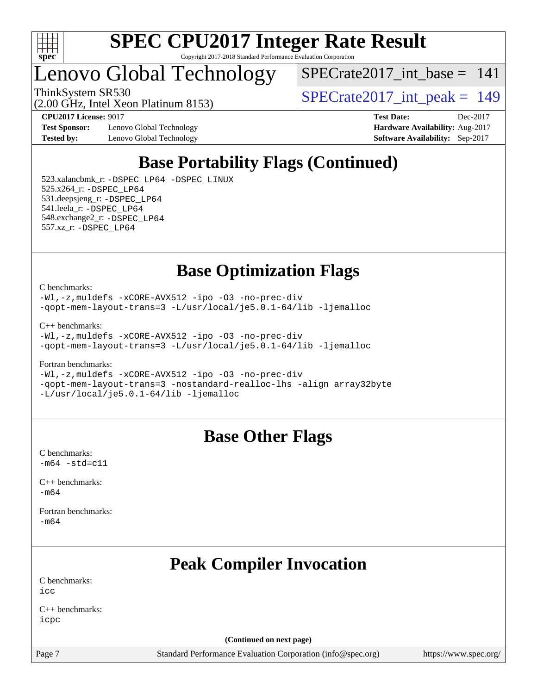

## Lenovo Global Technology

[SPECrate2017\\_int\\_base =](http://www.spec.org/auto/cpu2017/Docs/result-fields.html#SPECrate2017intbase) 141

ThinkSystem SR530<br>  $\frac{1200 \text{ GHz}}{100 \text{ GHz}}$  Intel Year Platinum 8153)

**[Test Sponsor:](http://www.spec.org/auto/cpu2017/Docs/result-fields.html#TestSponsor)** Lenovo Global Technology **[Hardware Availability:](http://www.spec.org/auto/cpu2017/Docs/result-fields.html#HardwareAvailability)** Aug-2017 **[Tested by:](http://www.spec.org/auto/cpu2017/Docs/result-fields.html#Testedby)** Lenovo Global Technology **[Software Availability:](http://www.spec.org/auto/cpu2017/Docs/result-fields.html#SoftwareAvailability)** Sep-2017

(2.00 GHz, Intel Xeon Platinum 8153)

**[CPU2017 License:](http://www.spec.org/auto/cpu2017/Docs/result-fields.html#CPU2017License)** 9017 **[Test Date:](http://www.spec.org/auto/cpu2017/Docs/result-fields.html#TestDate)** Dec-2017

## **[Base Portability Flags \(Continued\)](http://www.spec.org/auto/cpu2017/Docs/result-fields.html#BasePortabilityFlags)**

 523.xalancbmk\_r: [-DSPEC\\_LP64](http://www.spec.org/cpu2017/results/res2017q4/cpu2017-20171212-01626.flags.html#suite_basePORTABILITY523_xalancbmk_r_DSPEC_LP64) [-DSPEC\\_LINUX](http://www.spec.org/cpu2017/results/res2017q4/cpu2017-20171212-01626.flags.html#b523.xalancbmk_r_baseCXXPORTABILITY_DSPEC_LINUX) 525.x264\_r: [-DSPEC\\_LP64](http://www.spec.org/cpu2017/results/res2017q4/cpu2017-20171212-01626.flags.html#suite_basePORTABILITY525_x264_r_DSPEC_LP64) 531.deepsjeng\_r: [-DSPEC\\_LP64](http://www.spec.org/cpu2017/results/res2017q4/cpu2017-20171212-01626.flags.html#suite_basePORTABILITY531_deepsjeng_r_DSPEC_LP64) 541.leela\_r: [-DSPEC\\_LP64](http://www.spec.org/cpu2017/results/res2017q4/cpu2017-20171212-01626.flags.html#suite_basePORTABILITY541_leela_r_DSPEC_LP64) 548.exchange2\_r: [-DSPEC\\_LP64](http://www.spec.org/cpu2017/results/res2017q4/cpu2017-20171212-01626.flags.html#suite_basePORTABILITY548_exchange2_r_DSPEC_LP64) 557.xz\_r: [-DSPEC\\_LP64](http://www.spec.org/cpu2017/results/res2017q4/cpu2017-20171212-01626.flags.html#suite_basePORTABILITY557_xz_r_DSPEC_LP64)

**[Base Optimization Flags](http://www.spec.org/auto/cpu2017/Docs/result-fields.html#BaseOptimizationFlags)**

[C benchmarks](http://www.spec.org/auto/cpu2017/Docs/result-fields.html#Cbenchmarks):

[-Wl,-z,muldefs](http://www.spec.org/cpu2017/results/res2017q4/cpu2017-20171212-01626.flags.html#user_CCbase_link_force_multiple1_b4cbdb97b34bdee9ceefcfe54f4c8ea74255f0b02a4b23e853cdb0e18eb4525ac79b5a88067c842dd0ee6996c24547a27a4b99331201badda8798ef8a743f577) [-xCORE-AVX512](http://www.spec.org/cpu2017/results/res2017q4/cpu2017-20171212-01626.flags.html#user_CCbase_f-xCORE-AVX512) [-ipo](http://www.spec.org/cpu2017/results/res2017q4/cpu2017-20171212-01626.flags.html#user_CCbase_f-ipo) [-O3](http://www.spec.org/cpu2017/results/res2017q4/cpu2017-20171212-01626.flags.html#user_CCbase_f-O3) [-no-prec-div](http://www.spec.org/cpu2017/results/res2017q4/cpu2017-20171212-01626.flags.html#user_CCbase_f-no-prec-div) [-qopt-mem-layout-trans=3](http://www.spec.org/cpu2017/results/res2017q4/cpu2017-20171212-01626.flags.html#user_CCbase_f-qopt-mem-layout-trans_de80db37974c74b1f0e20d883f0b675c88c3b01e9d123adea9b28688d64333345fb62bc4a798493513fdb68f60282f9a726aa07f478b2f7113531aecce732043) [-L/usr/local/je5.0.1-64/lib](http://www.spec.org/cpu2017/results/res2017q4/cpu2017-20171212-01626.flags.html#user_CCbase_jemalloc_link_path64_4b10a636b7bce113509b17f3bd0d6226c5fb2346b9178c2d0232c14f04ab830f976640479e5c33dc2bcbbdad86ecfb6634cbbd4418746f06f368b512fced5394) [-ljemalloc](http://www.spec.org/cpu2017/results/res2017q4/cpu2017-20171212-01626.flags.html#user_CCbase_jemalloc_link_lib_d1249b907c500fa1c0672f44f562e3d0f79738ae9e3c4a9c376d49f265a04b9c99b167ecedbf6711b3085be911c67ff61f150a17b3472be731631ba4d0471706)

[C++ benchmarks:](http://www.spec.org/auto/cpu2017/Docs/result-fields.html#CXXbenchmarks)

[-Wl,-z,muldefs](http://www.spec.org/cpu2017/results/res2017q4/cpu2017-20171212-01626.flags.html#user_CXXbase_link_force_multiple1_b4cbdb97b34bdee9ceefcfe54f4c8ea74255f0b02a4b23e853cdb0e18eb4525ac79b5a88067c842dd0ee6996c24547a27a4b99331201badda8798ef8a743f577) [-xCORE-AVX512](http://www.spec.org/cpu2017/results/res2017q4/cpu2017-20171212-01626.flags.html#user_CXXbase_f-xCORE-AVX512) [-ipo](http://www.spec.org/cpu2017/results/res2017q4/cpu2017-20171212-01626.flags.html#user_CXXbase_f-ipo) [-O3](http://www.spec.org/cpu2017/results/res2017q4/cpu2017-20171212-01626.flags.html#user_CXXbase_f-O3) [-no-prec-div](http://www.spec.org/cpu2017/results/res2017q4/cpu2017-20171212-01626.flags.html#user_CXXbase_f-no-prec-div) [-qopt-mem-layout-trans=3](http://www.spec.org/cpu2017/results/res2017q4/cpu2017-20171212-01626.flags.html#user_CXXbase_f-qopt-mem-layout-trans_de80db37974c74b1f0e20d883f0b675c88c3b01e9d123adea9b28688d64333345fb62bc4a798493513fdb68f60282f9a726aa07f478b2f7113531aecce732043) [-L/usr/local/je5.0.1-64/lib](http://www.spec.org/cpu2017/results/res2017q4/cpu2017-20171212-01626.flags.html#user_CXXbase_jemalloc_link_path64_4b10a636b7bce113509b17f3bd0d6226c5fb2346b9178c2d0232c14f04ab830f976640479e5c33dc2bcbbdad86ecfb6634cbbd4418746f06f368b512fced5394) [-ljemalloc](http://www.spec.org/cpu2017/results/res2017q4/cpu2017-20171212-01626.flags.html#user_CXXbase_jemalloc_link_lib_d1249b907c500fa1c0672f44f562e3d0f79738ae9e3c4a9c376d49f265a04b9c99b167ecedbf6711b3085be911c67ff61f150a17b3472be731631ba4d0471706)

[Fortran benchmarks](http://www.spec.org/auto/cpu2017/Docs/result-fields.html#Fortranbenchmarks):

[-Wl,-z,muldefs](http://www.spec.org/cpu2017/results/res2017q4/cpu2017-20171212-01626.flags.html#user_FCbase_link_force_multiple1_b4cbdb97b34bdee9ceefcfe54f4c8ea74255f0b02a4b23e853cdb0e18eb4525ac79b5a88067c842dd0ee6996c24547a27a4b99331201badda8798ef8a743f577) [-xCORE-AVX512](http://www.spec.org/cpu2017/results/res2017q4/cpu2017-20171212-01626.flags.html#user_FCbase_f-xCORE-AVX512) [-ipo](http://www.spec.org/cpu2017/results/res2017q4/cpu2017-20171212-01626.flags.html#user_FCbase_f-ipo) [-O3](http://www.spec.org/cpu2017/results/res2017q4/cpu2017-20171212-01626.flags.html#user_FCbase_f-O3) [-no-prec-div](http://www.spec.org/cpu2017/results/res2017q4/cpu2017-20171212-01626.flags.html#user_FCbase_f-no-prec-div) [-qopt-mem-layout-trans=3](http://www.spec.org/cpu2017/results/res2017q4/cpu2017-20171212-01626.flags.html#user_FCbase_f-qopt-mem-layout-trans_de80db37974c74b1f0e20d883f0b675c88c3b01e9d123adea9b28688d64333345fb62bc4a798493513fdb68f60282f9a726aa07f478b2f7113531aecce732043) [-nostandard-realloc-lhs](http://www.spec.org/cpu2017/results/res2017q4/cpu2017-20171212-01626.flags.html#user_FCbase_f_2003_std_realloc_82b4557e90729c0f113870c07e44d33d6f5a304b4f63d4c15d2d0f1fab99f5daaed73bdb9275d9ae411527f28b936061aa8b9c8f2d63842963b95c9dd6426b8a) [-align array32byte](http://www.spec.org/cpu2017/results/res2017q4/cpu2017-20171212-01626.flags.html#user_FCbase_align_array32byte_b982fe038af199962ba9a80c053b8342c548c85b40b8e86eb3cc33dee0d7986a4af373ac2d51c3f7cf710a18d62fdce2948f201cd044323541f22fc0fffc51b6) [-L/usr/local/je5.0.1-64/lib](http://www.spec.org/cpu2017/results/res2017q4/cpu2017-20171212-01626.flags.html#user_FCbase_jemalloc_link_path64_4b10a636b7bce113509b17f3bd0d6226c5fb2346b9178c2d0232c14f04ab830f976640479e5c33dc2bcbbdad86ecfb6634cbbd4418746f06f368b512fced5394) [-ljemalloc](http://www.spec.org/cpu2017/results/res2017q4/cpu2017-20171212-01626.flags.html#user_FCbase_jemalloc_link_lib_d1249b907c500fa1c0672f44f562e3d0f79738ae9e3c4a9c376d49f265a04b9c99b167ecedbf6711b3085be911c67ff61f150a17b3472be731631ba4d0471706)

## **[Base Other Flags](http://www.spec.org/auto/cpu2017/Docs/result-fields.html#BaseOtherFlags)**

[C benchmarks](http://www.spec.org/auto/cpu2017/Docs/result-fields.html#Cbenchmarks):  $-m64 - std= c11$  $-m64 - std= c11$ 

[C++ benchmarks:](http://www.spec.org/auto/cpu2017/Docs/result-fields.html#CXXbenchmarks) [-m64](http://www.spec.org/cpu2017/results/res2017q4/cpu2017-20171212-01626.flags.html#user_CXXbase_intel_intel64_18.0_af43caccfc8ded86e7699f2159af6efc7655f51387b94da716254467f3c01020a5059329e2569e4053f409e7c9202a7efc638f7a6d1ffb3f52dea4a3e31d82ab)

[Fortran benchmarks](http://www.spec.org/auto/cpu2017/Docs/result-fields.html#Fortranbenchmarks): [-m64](http://www.spec.org/cpu2017/results/res2017q4/cpu2017-20171212-01626.flags.html#user_FCbase_intel_intel64_18.0_af43caccfc8ded86e7699f2159af6efc7655f51387b94da716254467f3c01020a5059329e2569e4053f409e7c9202a7efc638f7a6d1ffb3f52dea4a3e31d82ab)

## **[Peak Compiler Invocation](http://www.spec.org/auto/cpu2017/Docs/result-fields.html#PeakCompilerInvocation)**

[C benchmarks](http://www.spec.org/auto/cpu2017/Docs/result-fields.html#Cbenchmarks):  $i$ cc

[C++ benchmarks:](http://www.spec.org/auto/cpu2017/Docs/result-fields.html#CXXbenchmarks) [icpc](http://www.spec.org/cpu2017/results/res2017q4/cpu2017-20171212-01626.flags.html#user_CXXpeak_intel_icpc_18.0_c510b6838c7f56d33e37e94d029a35b4a7bccf4766a728ee175e80a419847e808290a9b78be685c44ab727ea267ec2f070ec5dc83b407c0218cded6866a35d07)

**(Continued on next page)**

Page 7 Standard Performance Evaluation Corporation [\(info@spec.org\)](mailto:info@spec.org) <https://www.spec.org/>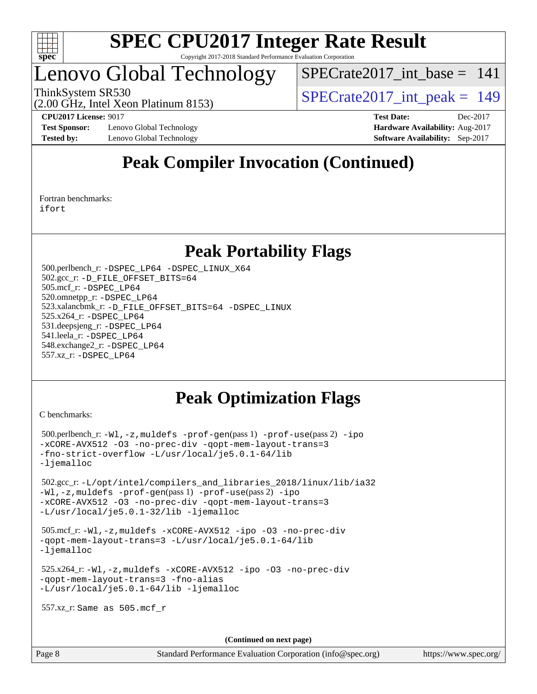

## Lenovo Global Technology

 $SPECrate2017\_int\_base = 141$ 

(2.00 GHz, Intel Xeon Platinum 8153)

ThinkSystem SR530<br>  $\overline{SPECrate2017\_int\_peak} = 149$ 

**[Test Sponsor:](http://www.spec.org/auto/cpu2017/Docs/result-fields.html#TestSponsor)** Lenovo Global Technology **[Hardware Availability:](http://www.spec.org/auto/cpu2017/Docs/result-fields.html#HardwareAvailability)** Aug-2017 **[Tested by:](http://www.spec.org/auto/cpu2017/Docs/result-fields.html#Testedby)** Lenovo Global Technology **[Software Availability:](http://www.spec.org/auto/cpu2017/Docs/result-fields.html#SoftwareAvailability)** Sep-2017

**[CPU2017 License:](http://www.spec.org/auto/cpu2017/Docs/result-fields.html#CPU2017License)** 9017 **[Test Date:](http://www.spec.org/auto/cpu2017/Docs/result-fields.html#TestDate)** Dec-2017

## **[Peak Compiler Invocation \(Continued\)](http://www.spec.org/auto/cpu2017/Docs/result-fields.html#PeakCompilerInvocation)**

[Fortran benchmarks](http://www.spec.org/auto/cpu2017/Docs/result-fields.html#Fortranbenchmarks): [ifort](http://www.spec.org/cpu2017/results/res2017q4/cpu2017-20171212-01626.flags.html#user_FCpeak_intel_ifort_18.0_8111460550e3ca792625aed983ce982f94888b8b503583aa7ba2b8303487b4d8a21a13e7191a45c5fd58ff318f48f9492884d4413fa793fd88dd292cad7027ca)

## **[Peak Portability Flags](http://www.spec.org/auto/cpu2017/Docs/result-fields.html#PeakPortabilityFlags)**

 500.perlbench\_r: [-DSPEC\\_LP64](http://www.spec.org/cpu2017/results/res2017q4/cpu2017-20171212-01626.flags.html#b500.perlbench_r_peakPORTABILITY_DSPEC_LP64) [-DSPEC\\_LINUX\\_X64](http://www.spec.org/cpu2017/results/res2017q4/cpu2017-20171212-01626.flags.html#b500.perlbench_r_peakCPORTABILITY_DSPEC_LINUX_X64) 502.gcc\_r: [-D\\_FILE\\_OFFSET\\_BITS=64](http://www.spec.org/cpu2017/results/res2017q4/cpu2017-20171212-01626.flags.html#user_peakPORTABILITY502_gcc_r_file_offset_bits_64_5ae949a99b284ddf4e95728d47cb0843d81b2eb0e18bdfe74bbf0f61d0b064f4bda2f10ea5eb90e1dcab0e84dbc592acfc5018bc955c18609f94ddb8d550002c) 505.mcf\_r: [-DSPEC\\_LP64](http://www.spec.org/cpu2017/results/res2017q4/cpu2017-20171212-01626.flags.html#suite_peakPORTABILITY505_mcf_r_DSPEC_LP64) 520.omnetpp\_r: [-DSPEC\\_LP64](http://www.spec.org/cpu2017/results/res2017q4/cpu2017-20171212-01626.flags.html#suite_peakPORTABILITY520_omnetpp_r_DSPEC_LP64) 523.xalancbmk\_r: [-D\\_FILE\\_OFFSET\\_BITS=64](http://www.spec.org/cpu2017/results/res2017q4/cpu2017-20171212-01626.flags.html#user_peakPORTABILITY523_xalancbmk_r_file_offset_bits_64_5ae949a99b284ddf4e95728d47cb0843d81b2eb0e18bdfe74bbf0f61d0b064f4bda2f10ea5eb90e1dcab0e84dbc592acfc5018bc955c18609f94ddb8d550002c) [-DSPEC\\_LINUX](http://www.spec.org/cpu2017/results/res2017q4/cpu2017-20171212-01626.flags.html#b523.xalancbmk_r_peakCXXPORTABILITY_DSPEC_LINUX) 525.x264\_r: [-DSPEC\\_LP64](http://www.spec.org/cpu2017/results/res2017q4/cpu2017-20171212-01626.flags.html#suite_peakPORTABILITY525_x264_r_DSPEC_LP64) 531.deepsjeng\_r: [-DSPEC\\_LP64](http://www.spec.org/cpu2017/results/res2017q4/cpu2017-20171212-01626.flags.html#suite_peakPORTABILITY531_deepsjeng_r_DSPEC_LP64) 541.leela\_r: [-DSPEC\\_LP64](http://www.spec.org/cpu2017/results/res2017q4/cpu2017-20171212-01626.flags.html#suite_peakPORTABILITY541_leela_r_DSPEC_LP64) 548.exchange2\_r: [-DSPEC\\_LP64](http://www.spec.org/cpu2017/results/res2017q4/cpu2017-20171212-01626.flags.html#suite_peakPORTABILITY548_exchange2_r_DSPEC_LP64) 557.xz\_r: [-DSPEC\\_LP64](http://www.spec.org/cpu2017/results/res2017q4/cpu2017-20171212-01626.flags.html#suite_peakPORTABILITY557_xz_r_DSPEC_LP64)

## **[Peak Optimization Flags](http://www.spec.org/auto/cpu2017/Docs/result-fields.html#PeakOptimizationFlags)**

[C benchmarks](http://www.spec.org/auto/cpu2017/Docs/result-fields.html#Cbenchmarks):

```
 500.perlbench_r: -Wl,-z,muldefs -prof-gen(pass 1) -prof-use(pass 2) -ipo
-xCORE-AVX512 -O3 -no-prec-div -qopt-mem-layout-trans=3
-fno-strict-overflow -L/usr/local/je5.0.1-64/lib
-ljemalloc
 502.gcc_r: -L/opt/intel/compilers_and_libraries_2018/linux/lib/ia32
-Wl,-z,muldefs -prof-gen(pass 1) -prof-use(pass 2) -ipo
-xCORE-AVX512 -O3 -no-prec-div -qopt-mem-layout-trans=3
-L/usr/local/je5.0.1-32/lib -ljemalloc
 505.mcf_r: -Wl,-z,muldefs -xCORE-AVX512 -ipo -O3 -no-prec-div
-qopt-mem-layout-trans=3 -L/usr/local/je5.0.1-64/lib
-ljemalloc
 525.x264_r: -Wl,-z,muldefs -xCORE-AVX512 -ipo -O3 -no-prec-div
-qopt-mem-layout-trans=3 -fno-alias
-L/usr/local/je5.0.1-64/lib -ljemalloc
 557.xz_r: Same as 505.mcf_r
```
**(Continued on next page)**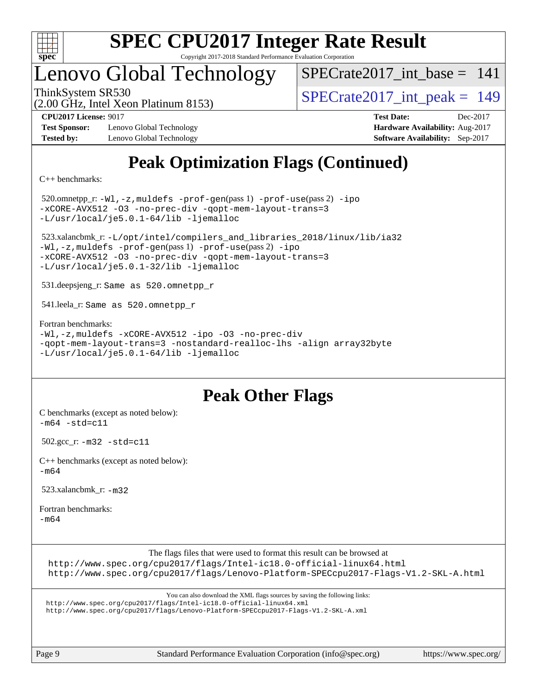

## Lenovo Global Technology

 $SPECrate2017\_int\_base = 141$ 

(2.00 GHz, Intel Xeon Platinum 8153)

ThinkSystem SR530<br>  $\overline{SPECrate2017\_int\_peak} = 149$ 

**[Test Sponsor:](http://www.spec.org/auto/cpu2017/Docs/result-fields.html#TestSponsor)** Lenovo Global Technology **[Hardware Availability:](http://www.spec.org/auto/cpu2017/Docs/result-fields.html#HardwareAvailability)** Aug-2017 **[Tested by:](http://www.spec.org/auto/cpu2017/Docs/result-fields.html#Testedby)** Lenovo Global Technology **[Software Availability:](http://www.spec.org/auto/cpu2017/Docs/result-fields.html#SoftwareAvailability)** Sep-2017

**[CPU2017 License:](http://www.spec.org/auto/cpu2017/Docs/result-fields.html#CPU2017License)** 9017 **[Test Date:](http://www.spec.org/auto/cpu2017/Docs/result-fields.html#TestDate)** Dec-2017

## **[Peak Optimization Flags \(Continued\)](http://www.spec.org/auto/cpu2017/Docs/result-fields.html#PeakOptimizationFlags)**

[C++ benchmarks:](http://www.spec.org/auto/cpu2017/Docs/result-fields.html#CXXbenchmarks)

 520.omnetpp\_r: [-Wl,-z,muldefs](http://www.spec.org/cpu2017/results/res2017q4/cpu2017-20171212-01626.flags.html#user_peakEXTRA_LDFLAGS520_omnetpp_r_link_force_multiple1_b4cbdb97b34bdee9ceefcfe54f4c8ea74255f0b02a4b23e853cdb0e18eb4525ac79b5a88067c842dd0ee6996c24547a27a4b99331201badda8798ef8a743f577) [-prof-gen](http://www.spec.org/cpu2017/results/res2017q4/cpu2017-20171212-01626.flags.html#user_peakPASS1_CXXFLAGSPASS1_LDFLAGS520_omnetpp_r_prof_gen_5aa4926d6013ddb2a31985c654b3eb18169fc0c6952a63635c234f711e6e63dd76e94ad52365559451ec499a2cdb89e4dc58ba4c67ef54ca681ffbe1461d6b36)(pass 1) [-prof-use](http://www.spec.org/cpu2017/results/res2017q4/cpu2017-20171212-01626.flags.html#user_peakPASS2_CXXFLAGSPASS2_LDFLAGS520_omnetpp_r_prof_use_1a21ceae95f36a2b53c25747139a6c16ca95bd9def2a207b4f0849963b97e94f5260e30a0c64f4bb623698870e679ca08317ef8150905d41bd88c6f78df73f19)(pass 2) [-ipo](http://www.spec.org/cpu2017/results/res2017q4/cpu2017-20171212-01626.flags.html#user_peakPASS1_CXXOPTIMIZEPASS2_CXXOPTIMIZE520_omnetpp_r_f-ipo) [-xCORE-AVX512](http://www.spec.org/cpu2017/results/res2017q4/cpu2017-20171212-01626.flags.html#user_peakPASS2_CXXOPTIMIZE520_omnetpp_r_f-xCORE-AVX512) [-O3](http://www.spec.org/cpu2017/results/res2017q4/cpu2017-20171212-01626.flags.html#user_peakPASS1_CXXOPTIMIZEPASS2_CXXOPTIMIZE520_omnetpp_r_f-O3) [-no-prec-div](http://www.spec.org/cpu2017/results/res2017q4/cpu2017-20171212-01626.flags.html#user_peakPASS1_CXXOPTIMIZEPASS2_CXXOPTIMIZE520_omnetpp_r_f-no-prec-div) [-qopt-mem-layout-trans=3](http://www.spec.org/cpu2017/results/res2017q4/cpu2017-20171212-01626.flags.html#user_peakPASS1_CXXOPTIMIZEPASS2_CXXOPTIMIZE520_omnetpp_r_f-qopt-mem-layout-trans_de80db37974c74b1f0e20d883f0b675c88c3b01e9d123adea9b28688d64333345fb62bc4a798493513fdb68f60282f9a726aa07f478b2f7113531aecce732043) [-L/usr/local/je5.0.1-64/lib](http://www.spec.org/cpu2017/results/res2017q4/cpu2017-20171212-01626.flags.html#user_peakEXTRA_LIBS520_omnetpp_r_jemalloc_link_path64_4b10a636b7bce113509b17f3bd0d6226c5fb2346b9178c2d0232c14f04ab830f976640479e5c33dc2bcbbdad86ecfb6634cbbd4418746f06f368b512fced5394) [-ljemalloc](http://www.spec.org/cpu2017/results/res2017q4/cpu2017-20171212-01626.flags.html#user_peakEXTRA_LIBS520_omnetpp_r_jemalloc_link_lib_d1249b907c500fa1c0672f44f562e3d0f79738ae9e3c4a9c376d49f265a04b9c99b167ecedbf6711b3085be911c67ff61f150a17b3472be731631ba4d0471706)

 523.xalancbmk\_r: [-L/opt/intel/compilers\\_and\\_libraries\\_2018/linux/lib/ia32](http://www.spec.org/cpu2017/results/res2017q4/cpu2017-20171212-01626.flags.html#user_peakCXXLD523_xalancbmk_r_Enable-32bit-runtime_af243bdb1d79e4c7a4f720bf8275e627de2ecd461de63307bc14cef0633fde3cd7bb2facb32dcc8be9566045fb55d40ce2b72b725f73827aa7833441b71b9343) [-Wl,-z,muldefs](http://www.spec.org/cpu2017/results/res2017q4/cpu2017-20171212-01626.flags.html#user_peakEXTRA_LDFLAGS523_xalancbmk_r_link_force_multiple1_b4cbdb97b34bdee9ceefcfe54f4c8ea74255f0b02a4b23e853cdb0e18eb4525ac79b5a88067c842dd0ee6996c24547a27a4b99331201badda8798ef8a743f577) [-prof-gen](http://www.spec.org/cpu2017/results/res2017q4/cpu2017-20171212-01626.flags.html#user_peakPASS1_CXXFLAGSPASS1_LDFLAGS523_xalancbmk_r_prof_gen_5aa4926d6013ddb2a31985c654b3eb18169fc0c6952a63635c234f711e6e63dd76e94ad52365559451ec499a2cdb89e4dc58ba4c67ef54ca681ffbe1461d6b36)(pass 1) [-prof-use](http://www.spec.org/cpu2017/results/res2017q4/cpu2017-20171212-01626.flags.html#user_peakPASS2_CXXFLAGSPASS2_LDFLAGS523_xalancbmk_r_prof_use_1a21ceae95f36a2b53c25747139a6c16ca95bd9def2a207b4f0849963b97e94f5260e30a0c64f4bb623698870e679ca08317ef8150905d41bd88c6f78df73f19)(pass 2) [-ipo](http://www.spec.org/cpu2017/results/res2017q4/cpu2017-20171212-01626.flags.html#user_peakPASS1_CXXOPTIMIZEPASS2_CXXOPTIMIZE523_xalancbmk_r_f-ipo) [-xCORE-AVX512](http://www.spec.org/cpu2017/results/res2017q4/cpu2017-20171212-01626.flags.html#user_peakPASS2_CXXOPTIMIZE523_xalancbmk_r_f-xCORE-AVX512) [-O3](http://www.spec.org/cpu2017/results/res2017q4/cpu2017-20171212-01626.flags.html#user_peakPASS1_CXXOPTIMIZEPASS2_CXXOPTIMIZE523_xalancbmk_r_f-O3) [-no-prec-div](http://www.spec.org/cpu2017/results/res2017q4/cpu2017-20171212-01626.flags.html#user_peakPASS1_CXXOPTIMIZEPASS2_CXXOPTIMIZE523_xalancbmk_r_f-no-prec-div) [-qopt-mem-layout-trans=3](http://www.spec.org/cpu2017/results/res2017q4/cpu2017-20171212-01626.flags.html#user_peakPASS1_CXXOPTIMIZEPASS2_CXXOPTIMIZE523_xalancbmk_r_f-qopt-mem-layout-trans_de80db37974c74b1f0e20d883f0b675c88c3b01e9d123adea9b28688d64333345fb62bc4a798493513fdb68f60282f9a726aa07f478b2f7113531aecce732043) [-L/usr/local/je5.0.1-32/lib](http://www.spec.org/cpu2017/results/res2017q4/cpu2017-20171212-01626.flags.html#user_peakEXTRA_LIBS523_xalancbmk_r_jemalloc_link_path32_e29f22e8e6c17053bbc6a0971f5a9c01a601a06bb1a59df2084b77a2fe0a2995b64fd4256feaeea39eeba3aae142e96e2b2b0a28974019c0c0c88139a84f900a) [-ljemalloc](http://www.spec.org/cpu2017/results/res2017q4/cpu2017-20171212-01626.flags.html#user_peakEXTRA_LIBS523_xalancbmk_r_jemalloc_link_lib_d1249b907c500fa1c0672f44f562e3d0f79738ae9e3c4a9c376d49f265a04b9c99b167ecedbf6711b3085be911c67ff61f150a17b3472be731631ba4d0471706)

531.deepsjeng\_r: Same as 520.omnetpp\_r

541.leela\_r: Same as 520.omnetpp\_r

[Fortran benchmarks](http://www.spec.org/auto/cpu2017/Docs/result-fields.html#Fortranbenchmarks):

```
-Wl,-z,muldefs -xCORE-AVX512 -ipo -O3 -no-prec-div
-qopt-mem-layout-trans=3 -nostandard-realloc-lhs -align array32byte
-L/usr/local/je5.0.1-64/lib -ljemalloc
```
## **[Peak Other Flags](http://www.spec.org/auto/cpu2017/Docs/result-fields.html#PeakOtherFlags)**

[C benchmarks \(except as noted below\)](http://www.spec.org/auto/cpu2017/Docs/result-fields.html#Cbenchmarksexceptasnotedbelow):  $-m64 - std= c11$  $-m64 - std= c11$ 

502.gcc\_r: [-m32](http://www.spec.org/cpu2017/results/res2017q4/cpu2017-20171212-01626.flags.html#user_peakCCLD502_gcc_r_intel_ia32_18.0_2666f1173eb60787016b673bfe1358e27016ef7649ea4884b7bc6187fd89dc221d14632e22638cde1c647a518de97358ab15d4ad098ee4e19a8b28d0c25e14bf) [-std=c11](http://www.spec.org/cpu2017/results/res2017q4/cpu2017-20171212-01626.flags.html#user_peakCCLD502_gcc_r_intel_compiler_c11_mode_0e1c27790398a4642dfca32ffe6c27b5796f9c2d2676156f2e42c9c44eaad0c049b1cdb667a270c34d979996257aeb8fc440bfb01818dbc9357bd9d174cb8524)

[C++ benchmarks \(except as noted below\):](http://www.spec.org/auto/cpu2017/Docs/result-fields.html#CXXbenchmarksexceptasnotedbelow) [-m64](http://www.spec.org/cpu2017/results/res2017q4/cpu2017-20171212-01626.flags.html#user_CXXpeak_intel_intel64_18.0_af43caccfc8ded86e7699f2159af6efc7655f51387b94da716254467f3c01020a5059329e2569e4053f409e7c9202a7efc638f7a6d1ffb3f52dea4a3e31d82ab)

523.xalancbmk\_r: [-m32](http://www.spec.org/cpu2017/results/res2017q4/cpu2017-20171212-01626.flags.html#user_peakCXXLD523_xalancbmk_r_intel_ia32_18.0_2666f1173eb60787016b673bfe1358e27016ef7649ea4884b7bc6187fd89dc221d14632e22638cde1c647a518de97358ab15d4ad098ee4e19a8b28d0c25e14bf)

[Fortran benchmarks](http://www.spec.org/auto/cpu2017/Docs/result-fields.html#Fortranbenchmarks): [-m64](http://www.spec.org/cpu2017/results/res2017q4/cpu2017-20171212-01626.flags.html#user_FCpeak_intel_intel64_18.0_af43caccfc8ded86e7699f2159af6efc7655f51387b94da716254467f3c01020a5059329e2569e4053f409e7c9202a7efc638f7a6d1ffb3f52dea4a3e31d82ab)

The flags files that were used to format this result can be browsed at

<http://www.spec.org/cpu2017/flags/Intel-ic18.0-official-linux64.html>

<http://www.spec.org/cpu2017/flags/Lenovo-Platform-SPECcpu2017-Flags-V1.2-SKL-A.html>

You can also download the XML flags sources by saving the following links:

<http://www.spec.org/cpu2017/flags/Intel-ic18.0-official-linux64.xml> <http://www.spec.org/cpu2017/flags/Lenovo-Platform-SPECcpu2017-Flags-V1.2-SKL-A.xml>